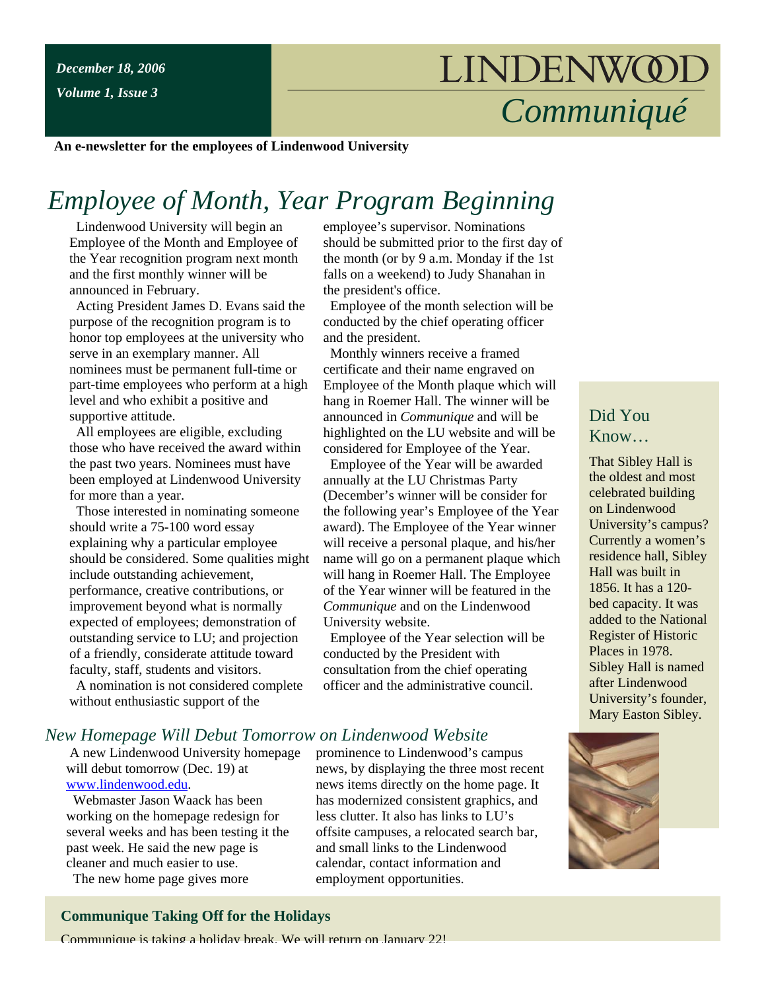*Volume 1, Issue 3*

# LINDENWOOL *Communiqué*

**An e-newsletter for the employees of Lindenwood University**

# *Employee of Month, Year Program Beginning*

 Lindenwood University will begin an Employee of the Month and Employee of the Year recognition program next month and the first monthly winner will be announced in February.

 Acting President James D. Evans said the purpose of the recognition program is to honor top employees at the university who serve in an exemplary manner. All nominees must be permanent full-time or part-time employees who perform at a high level and who exhibit a positive and supportive attitude.

 All employees are eligible, excluding those who have received the award within the past two years. Nominees must have been employed at Lindenwood University for more than a year.

 Those interested in nominating someone should write a 75-100 word essay explaining why a particular employee should be considered. Some qualities might include outstanding achievement, performance, creative contributions, or improvement beyond what is normally expected of employees; demonstration of outstanding service to LU; and projection of a friendly, considerate attitude toward faculty, staff, students and visitors.

 A nomination is not considered complete without enthusiastic support of the

employee's supervisor. Nominations should be submitted prior to the first day of the month (or by 9 a.m. Monday if the 1st falls on a weekend) to Judy Shanahan in the president's office.

 Employee of the month selection will be conducted by the chief operating officer and the president.

 Monthly winners receive a framed certificate and their name engraved on Employee of the Month plaque which will hang in Roemer Hall. The winner will be announced in *Communique* and will be highlighted on the LU website and will be considered for Employee of the Year.

 Employee of the Year will be awarded annually at the LU Christmas Party (December's winner will be consider for the following year's Employee of the Year award). The Employee of the Year winner will receive a personal plaque, and his/her name will go on a permanent plaque which will hang in Roemer Hall. The Employee of the Year winner will be featured in the *Communique* and on the Lindenwood University website.

 Employee of the Year selection will be conducted by the President with consultation from the chief operating officer and the administrative council.

prominence to Lindenwood's campus news, by displaying the three most recent news items directly on the home page. It has modernized consistent graphics, and less clutter. It also has links to LU's offsite campuses, a relocated search bar, and small links to the Lindenwood calendar, contact information and employment opportunities.

# Did You Know…

That Sibley Hall is the oldest and most celebrated building on Lindenwood University's campus? Currently a women's residence hall, Sibley Hall was built in 1856. It has a 120 bed capacity. It was added to the National Register of Historic Places in 1978. Sibley Hall is named after Lindenwood University's founder, Mary Easton Sibley.



# *New Homepage Will Debut Tomorrow on Lindenwood Website*

 A new Lindenwood University homepage will debut tomorrow (Dec. 19) at [www.lindenwood.edu](http://www.lindenwood.edu/).

 Webmaster Jason Waack has been working on the homepage redesign for several weeks and has been testing it the past week. He said the new page is cleaner and much easier to use.

The new home page gives more

#### **Communique Taking Off for the Holidays**

Communique is taking a holiday break. We will return on January 22!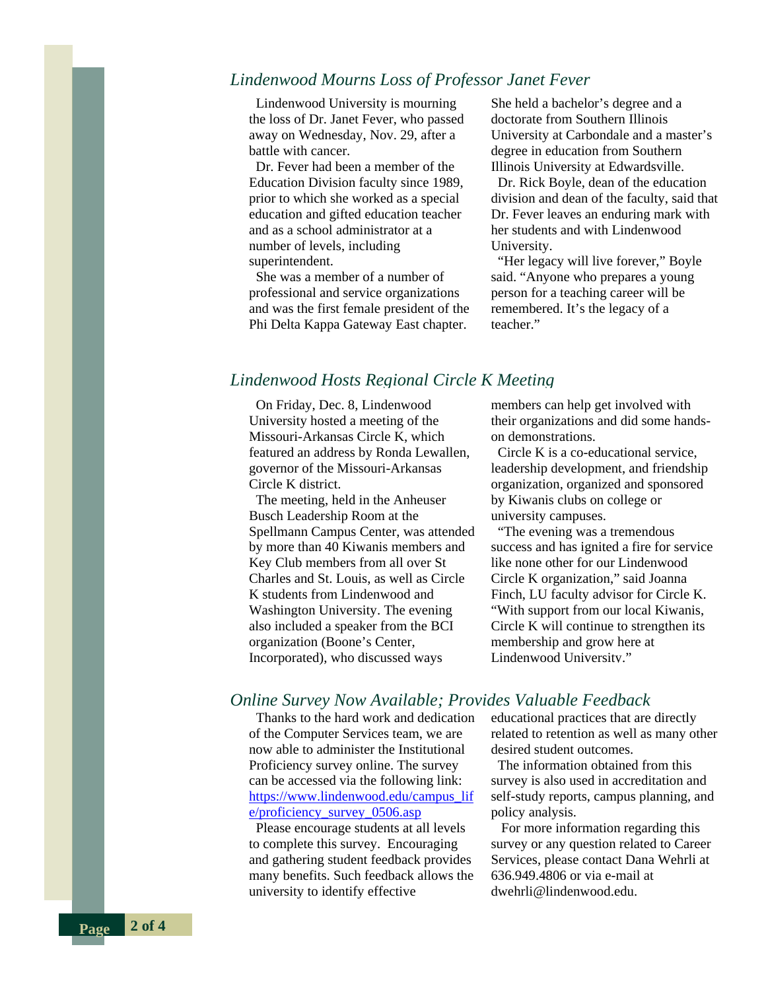#### *Lindenwood Mourns Loss of Professor Janet Fever*

 Lindenwood University is mourning the loss of Dr. Janet Fever, who passed away on Wednesday, Nov. 29, after a battle with cancer.

 Dr. Fever had been a member of the Education Division faculty since 1989, prior to which she worked as a special education and gifted education teacher and as a school administrator at a number of levels, including superintendent.

 She was a member of a number of professional and service organizations and was the first female president of the Phi Delta Kappa Gateway East chapter.

She held a bachelor's degree and a doctorate from Southern Illinois University at Carbondale and a master's degree in education from Southern Illinois University at Edwardsville.

 Dr. Rick Boyle, dean of the education division and dean of the faculty, said that Dr. Fever leaves an enduring mark with her students and with Lindenwood University.

"Her legacy will live forever," Boyle said. "Anyone who prepares a young person for a teaching career will be remembered. It's the legacy of a teacher"

# *Lindenwood Hosts Regional Circle K Meeting*

 On Friday, Dec. 8, Lindenwood University hosted a meeting of the Missouri-Arkansas Circle K, which featured an address by Ronda Lewallen, governor of the Missouri-Arkansas Circle K district.

 The meeting, held in the Anheuser Busch Leadership Room at the Spellmann Campus Center, was attended by more than 40 Kiwanis members and Key Club members from all over St Charles and St. Louis, as well as Circle K students from Lindenwood and Washington University. The evening also included a speaker from the BCI organization (Boone's Center, Incorporated), who discussed ways

members can help get involved with their organizations and did some handson demonstrations.

 Circle K is a co-educational service, leadership development, and friendship organization, organized and sponsored by Kiwanis clubs on college or university campuses.

 "The evening was a tremendous success and has ignited a fire for service like none other for our Lindenwood Circle K organization," said Joanna Finch, LU faculty advisor for Circle K. "With support from our local Kiwanis, Circle K will continue to strengthen its membership and grow here at Lindenwood University."

#### *Online Survey Now Available; Provides Valuable Feedback*

 Thanks to the hard work and dedication of the Computer Services team, we are now able to administer the Institutional Proficiency survey online. The survey can be accessed via the following link: [https://www.lindenwood.edu/campus\\_lif](https://www.lindenwood.edu/campus_life/proficiency_survey_0506.asp) [e/proficiency\\_survey\\_0506.asp](https://www.lindenwood.edu/campus_life/proficiency_survey_0506.asp)

 Please encourage students at all levels to complete this survey. Encouraging and gathering student feedback provides many benefits. Such feedback allows the university to identify effective

educational practices that are directly related to retention as well as many other desired student outcomes.

 The information obtained from this survey is also used in accreditation and self-study reports, campus planning, and policy analysis.

 For more information regarding this survey or any question related to Career Services, please contact Dana Wehrli at 636.949.4806 or via e-mail at dwehrli@lindenwood.edu.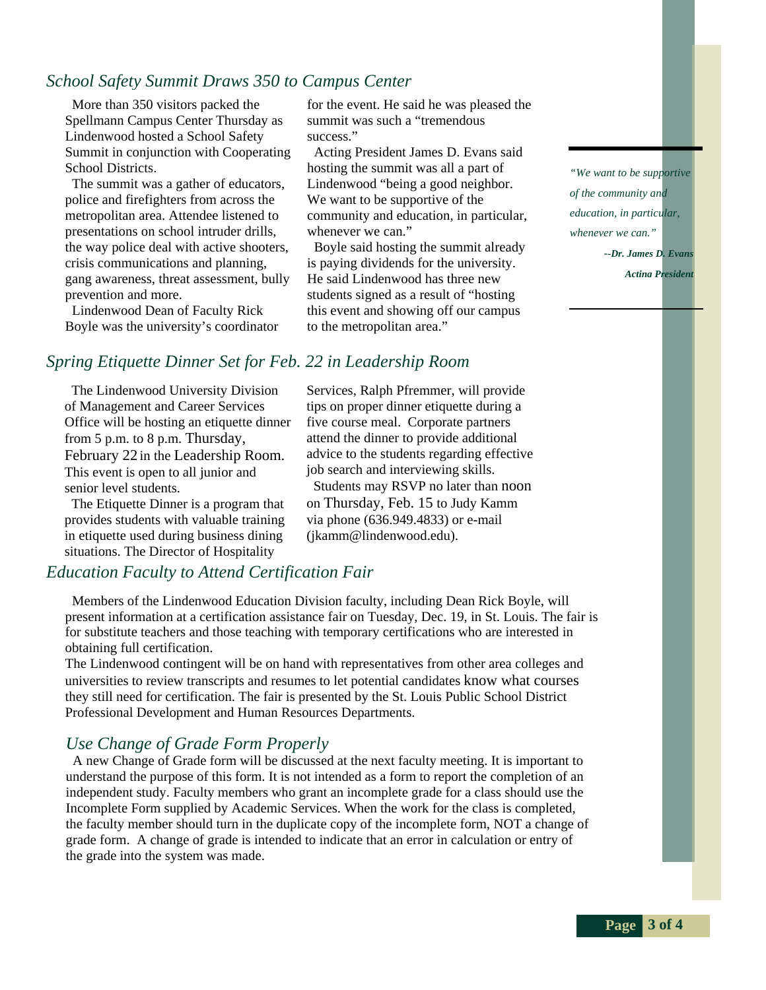# *School Safety Summit Draws 350 to Campus Center*

 More than 350 visitors packed the Spellmann Campus Center Thursday as Lindenwood hosted a School Safety Summit in conjunction with Cooperating School Districts.

 The summit was a gather of educators, police and firefighters from across the metropolitan area. Attendee listened to presentations on school intruder drills, the way police deal with active shooters, crisis communications and planning, gang awareness, threat assessment, bully prevention and more.

 Lindenwood Dean of Faculty Rick Boyle was the university's coordinator for the event. He said he was pleased the summit was such a "tremendous success<sup>"</sup>

 Acting President James D. Evans said hosting the summit was all a part of Lindenwood "being a good neighbor. We want to be supportive of the community and education, in particular, whenever we can."

 Boyle said hosting the summit already is paying dividends for the university. He said Lindenwood has three new students signed as a result of "hosting this event and showing off our campus to the metropolitan area."

*"We want to be supportive of the community and education, in particular, whenever we can." --Dr. James D. Evans*

*Acting President*

# *Spring Etiquette Dinner Set for Feb. 22 in Leadership Room*

 The Lindenwood University Division of Management and Career Services Office will be hosting an etiquette dinner from 5 p.m. to 8 p.m. Thursday, February 22 in the Leadership Room. This event is open to all junior and senior level students.

 The Etiquette Dinner is a program that provides students with valuable training in etiquette used during business dining situations. The Director of Hospitality

# *Education Faculty to Attend Certification Fair*

 Members of the Lindenwood Education Division faculty, including Dean Rick Boyle, will present information at a certification assistance fair on Tuesday, Dec. 19, in St. Louis. The fair is for substitute teachers and those teaching with temporary certifications who are interested in obtaining full certification.

The Lindenwood contingent will be on hand with representatives from other area colleges and universities to review transcripts and resumes to let potential candidates know what courses they still need for certification. The fair is presented by the St. Louis Public School District Professional Development and Human Resources Departments.

# *Use Change of Grade Form Properly*

 A new Change of Grade form will be discussed at the next faculty meeting. It is important to understand the purpose of this form. It is not intended as a form to report the completion of an independent study. Faculty members who grant an incomplete grade for a class should use the Incomplete Form supplied by Academic Services. When the work for the class is completed, the faculty member should turn in the duplicate copy of the incomplete form, NOT a change of grade form. A change of grade is intended to indicate that an error in calculation or entry of the grade into the system was made.

Services, Ralph Pfremmer, will provide tips on proper dinner etiquette during a five course meal. Corporate partners attend the dinner to provide additional advice to the students regarding effective job search and interviewing skills.

 Students may RSVP no later than noon on Thursday, Feb. 15 to Judy Kamm via phone (636.949.4833) or e-mail (jkamm@lindenwood.edu).